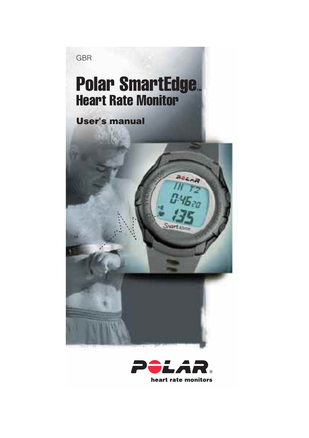GBR

### Polar SmartEdge. Heart Rate Monitor

#### **User's manual**

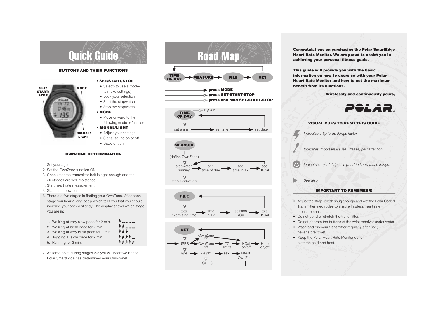

#### **BUTTONS AND THEIR FUNCTIONS**



#### **OWNZONE DETERMINATION**

- 1. Set your age.
- 2. Set the OwnZone function ON.
- 3. Check that the transmitter belt is tight enough and the electrodes are well moistened.
- 4. Start heart rate measurement.
- 5. Start the stopwatch.
- 6. There are five stages in finding your OwnZone. After each stage you hear a long beep which tells you that you should increase your speed slightly. The display shows which stage you are in:

| 1. Walking at very slow pace for 2 min.  | <i>l'    </i>    |
|------------------------------------------|------------------|
| 2. Walking at brisk pace for 2 min.      |                  |
| 3. Walking at very brisk pace for 2 min. | ###              |
| 4. Jogging at slow pace for 2 min.       |                  |
| 5. Running for 2 min.                    | <b>A A A A A</b> |

7. At some point during stages 2-5 you will hear two beeps. Polar SmartEdge has determined your OwnZone!



**press MODE press SET-START-STOP press and hold SET-START-STOP**









**This guide will provide you with the basic information on how to exercise with your Polar Heart Rate Monitor and how to get the maximum benefit from its functions.**

 **Wirelessly and continuously yours,**





- Adjust the strap length snug enough and wet the Polar Coded Transmitter electrodes to ensure flawless heart rate measurement.
- Do not bend or stretch the transmitter.
- Do not operate the buttons of the wrist receiver under water.
- Wash and dry your transmitter regularly after use; never store it wet.
- Keep the Polar Heart Rate Monitor out of extreme cold and heat.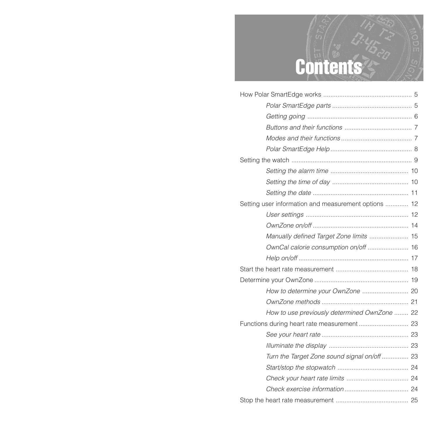## Contents

| Setting user information and measurement options  12 |  |
|------------------------------------------------------|--|
|                                                      |  |
|                                                      |  |
| Manually defined Target Zone limits  15              |  |
|                                                      |  |
|                                                      |  |
|                                                      |  |
|                                                      |  |
|                                                      |  |
|                                                      |  |
| How to use previously determined OwnZone  22         |  |
|                                                      |  |
|                                                      |  |
|                                                      |  |
| Turn the Target Zone sound signal on/off  23         |  |
|                                                      |  |
|                                                      |  |
|                                                      |  |
|                                                      |  |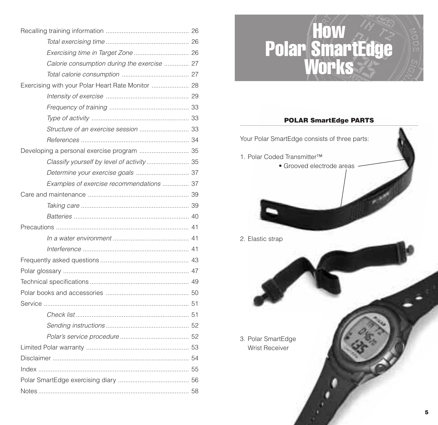| Calorie consumption during the exercise  27       |  |
|---------------------------------------------------|--|
|                                                   |  |
| Exercising with your Polar Heart Rate Monitor  28 |  |
|                                                   |  |
|                                                   |  |
|                                                   |  |
|                                                   |  |
|                                                   |  |
|                                                   |  |
| Classify yourself by level of activity  35        |  |
| Determine your exercise goals  37                 |  |
| Examples of exercise recommendations  37          |  |
|                                                   |  |
|                                                   |  |
|                                                   |  |
|                                                   |  |
|                                                   |  |
|                                                   |  |
|                                                   |  |
|                                                   |  |
|                                                   |  |
|                                                   |  |
|                                                   |  |
|                                                   |  |
|                                                   |  |
|                                                   |  |
|                                                   |  |
|                                                   |  |
|                                                   |  |
|                                                   |  |
|                                                   |  |

## How Polar SmartEdge Works

#### **POLAR SmartEdge PARTS**

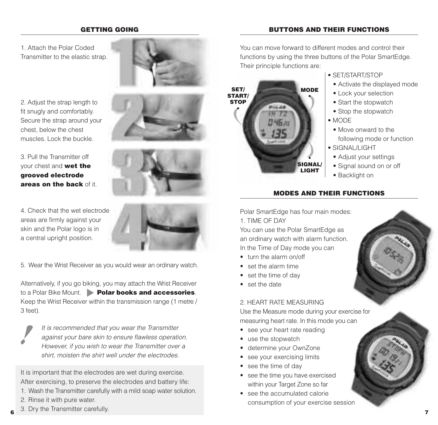#### **GETTING GOING**

#### 1. Attach the Polar CodedTransmitter to the elastic strap.

2. Adjust the strap length to fit snugly and comfortably. Secure the strap around your chest, below the chest muscles. Lock the buckle.

#### 3. Pull the Transmitter offyour chest and **wet the grooved electrode areas on the back** of it.



5. Wear the Wrist Receiver as you would wear an ordinary watch.

Alternatively, if you go biking, you may attach the Wrist Receiver to a Polar Bike Mount. **Polar books and accessories**.Keep the Wrist Receiver within the transmission range (1 metre / 3 feet).

**6**

It is recommended that you wear the Transmitter against your bare skin to ensure flawless operation. However, if you wish to wear the Transmitter over a shirt, moisten the shirt well under the electrodes.

It is important that the electrodes are wet during exercise. After exercising, to preserve the electrodes and battery life:

- 1. Wash the Transmitter carefully with a mild soap water solution.
- 2. Rinse it with pure water.
- 6 and *J<sub>1</sub>* and *La*ndman detector, **7** 3. Dry the Transmitter carefully.









You can move forward to different modes and control theirfunctions by using the three buttons of the Polar SmartEdge. Their principle functions are:



#### • SET/START/STOP

- Activate the displayed mode
- Lock your selection
- Start the stopwatch
- Stop the stopwatch
- MODE
- Move onward to thefollowing mode or function
- SIGNAL/LIGHT
- Adjust your settings
- Signal sound on or off
- Backlight on

#### **MODES AND THEIR FUNCTIONS**

Polar SmartEdge has four main modes: 1. TIME OF DAY

You can use the Polar SmartEdge as an ordinary watch with alarm function. In the Time of Day mode you can

- turn the alarm on/off
- set the alarm time
- set the time of day
- set the date

#### 2. HEART RATE MEASURING

Use the Measure mode during your exercise for measuring heart rate. In this mode you can

- see your heart rate reading
- use the stopwatch
- determine your OwnZone
- •see your exercising limits
- see the time of day
- see the time you have exercised within your Target Zone so far
- see the accumulated calorieconsumption of your exercise session



**BUTTONS AND THEIR FUNCTIONS**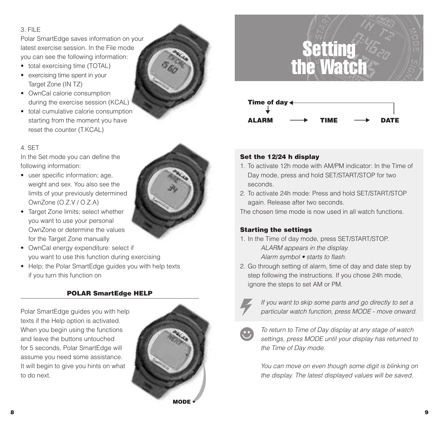#### 3. FILE

Polar SmartEdge saves information on your latest exercise session. In the File modeyou can see the following information:

- total exercising time (TOTAL)
- exercising time spent in your Target Zone (IN TZ)
- OwnCal calorie consumption during the exercise session (KCAL)
- total cumulative calorie consumption starting from the moment you have reset the counter (T.KCAL)



In the Set mode you can define the following information:

- user specific information; age, weight and sex. You also see the limits of your previously determined OwnZone (O.Z.V / O.Z.A)
- Target Zone limits; select whether you want to use your personal OwnZone or determine the valuesfor the Target Zone manually
- OwnCal energy expenditure: select if you want to use this function during exercising
- Help; the Polar SmartEdge guides you with help texts if you turn this function on

#### **POLAR SmartEdge HELP**

Polar SmartEdge guides you with help texts if the Help option is activated. When you begin using the functions and leave the buttons untouchedfor 5 seconds, Polar SmartEdge will assume you need some assistance. It will begin to give you hints on what to do next.





### Setting the Watch



#### **Set the 12/24 h display**

- 1. To activate 12h mode with AM/PM indicator: In the Time of Day mode, press and hold SET/START/STOP for two seconds.
- 2. To activate 24h mode: Press and hold SET/START/STOP again. Release after two seconds.

The chosen time mode is now used in all watch functions.

#### **Starting the settings**

- 1. In the Time of day mode, press SET/START/STOP. ALARM appears in the display. Alarm symbol • starts to flash.
- 2. Go through setting of alarm, time of day and date step by step following the instructions. If you chose 24h mode, ignore the steps to set AM or PM.



If you want to skip some parts and go directly to set a particular watch function, press MODE - move onward.



To return to Time of Day display at any stage of watch settings, press MODE until your display has returned to the Time of Day mode.

You can move on even though some digit is blinking on the display. The latest displayed values will be saved.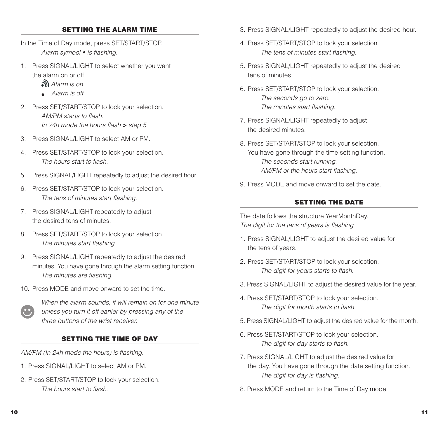#### **SETTING THE ALARM TIME**

- In the Time of Day mode, press SET/START/STOP. Alarm symbol • is flashing.
- 1. Press SIGNAL/LIGHT to select whether you want the alarm on or off.
	- Alarm is on
	- Alarm is off
- 2. Press SET/START/STOP to lock your selection. AM/PM starts to flash. In 24h mode the hours flash **>** step 5
- 3. Press SIGNAL/LIGHT to select AM or PM.
- 4. Press SET/START/STOP to lock your selection. The hours start to flash.
- 5. Press SIGNAL/LIGHT repeatedly to adjust the desired hour.
- 6. Press SET/START/STOP to lock your selection. The tens of minutes start flashing.
- 7. Press SIGNAL/LIGHT repeatedly to adjust the desired tens of minutes.
- 8. Press SET/START/STOP to lock your selection. The minutes start flashing.
- 9. Press SIGNAL/LIGHT repeatedly to adjust the desired minutes. You have gone through the alarm setting function. The minutes are flashing.
- 10. Press MODE and move onward to set the time.



When the alarm sounds, it will remain on for one minute unless you turn it off earlier by pressing any of the three buttons of the wrist receiver.

#### **SETTING THE TIME OF DAY**

AM/PM (In 24h mode the hours) is flashing.

- 1. Press SIGNAL /LIGHT to select AM or PM.
- 2. Press SET/START/STOP to lock your selection. The hours start to flash.
- 3. Press SIGNAL/LIGHT repeatedly to adjust the desired hour.
- 4. Press SET/START/STOP to lock your selection. The tens of minutes start flashing.
- 5. Press SIGNAL/LIGHT repeatedly to adjust the desired tens of minutes.
- 6. Press SET/START/STOP to lock your selection. The seconds go to zero. The minutes start flashing.
- 7. Press SIGNAL/LIGHT repeatedly to adjust the desired minutes.
- 8. Press SET/START/STOP to lock your selection. You have gone through the time setting function. The seconds start running. AM/PM or the hours start flashing.
- 9. Press MODE and move onward to set the date.

#### **SETTING THE DATE**

The date follows the structure YearMonthDay. The digit for the tens of years is flashing.

- 1. Press SIGNAL/LIGHT to adjust the desired value for the tens of years.
- 2. Press SET/START/STOP to lock your selection. The digit for years starts to flash.
- 3. Press SIGNAL/LIGHT to adjust the desired value for the year.
- 4. Press SET/START/STOP to lock your selection. The digit for month starts to flash.
- 5. Press SIGNAL/LIGHT to adjust the desired value for the month.
- 6. Press SET/START/STOP to lock your selection. The digit for day starts to flash.
- 7. Press SIGNAL/LIGHT to adjust the desired value for the day. You have gone through the date setting function. The digit for day is flashing.
- 8. Press MODE and return to the Time of Day mode.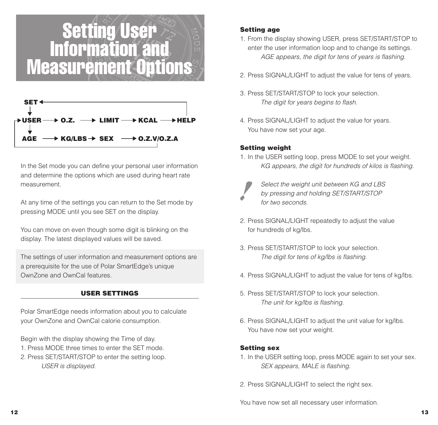### Setting User Information and Measurement Options



In the Set mode you can define your personal user information and determine the options which are used during heart rate measurement.

At any time of the settings you can return to the Set mode by pressing MODE until you see SET on the display.

You can move on even though some digit is blinking on the display. The latest displayed values will be saved.

The settings of user information and measurement options are a prerequisite for the use of Polar SmartEdge's unique OwnZone and OwnCal features.

#### **USER SETTINGS**

Polar SmartEdge needs information about you to calculate your OwnZone and OwnCal calorie consumption.

Begin with the display showing the Time of day.

- 1. Press MODE three times to enter the SET mode.
- 2. Press SET/START/STOP to enter the setting loop. USER is displayed.

#### **Setting age**

- 1. From the display showing USER, press SET/START/STOP to enter the user information loop and to change its settings. AGE appears, the digit for tens of years is flashing.
- 2. Press SIGNAL/LIGHT to adjust the value for tens of years.
- 3. Press SET/START/STOP to lock your selection. The digit for years begins to flash.
- 4. Press SIGNAL/LIGHT to adjust the value for years. You have now set your age.

#### **Setting weight**

1. In the USER setting loop, press MODE to set your weight. KG appears, the digit for hundreds of kilos is flashing.



Select the weight unit between KG and LBS by pressing and holding SET/START/STOP for two seconds.

- 2. Press SIGNAL/LIGHT repeatedly to adjust the value for hundreds of kg/lbs.
- 3. Press SET/START/STOP to lock your selection. The digit for tens of kg/lbs is flashing.
- 4. Press SIGNAL/LIGHT to adjust the value for tens of kg/lbs.
- 5. Press SET/START/STOP to lock your selection. The unit for kg/lbs is flashing.
- 6. Press SIGNAL/LIGHT to adjust the unit value for kg/lbs. You have now set your weight.

#### **Setting sex**

- 1. In the USER setting loop, press MODE again to set your sex. SEX appears, MALE is flashing.
- 2. Press SIGNAL/LIGHT to select the right sex.

You have now set all necessary user information.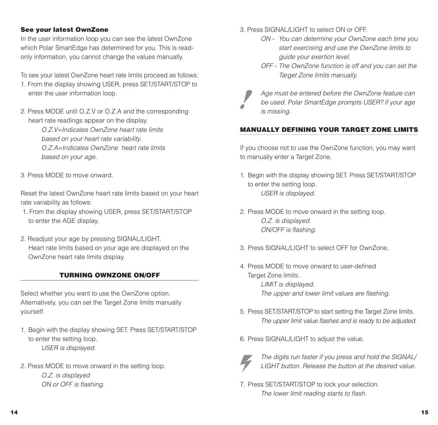#### **See your latest OwnZone**

In the user information loop you can see the latest OwnZone which Polar SmartEdge has determined for you. This is readonly information, you cannot change the values manually.

To see your latest OwnZone heart rate limits proceed as follows:

- 1. From the display showing USER, press SET/START/STOP to enter the user information loop.
- 2. Press MODE until O.Z.V or O.Z.A and the corresponding heart rate readings appear on the display.

O.Z.V=Indicates OwnZone heart rate limitsbased on your heart rate variability. O.Z.A=Indicates OwnZone heart rate limitsbased on your age.

3. Press MODE to move onward.

Reset the latest OwnZone heart rate limits based on your heart rate variability as follows:

- 1. From the display showing USER, press SET/START/STOP to enter the AGE display.
- 2. Readjust your age by pressing SIGNAL/LIGHT. Heart rate limits based on your age are displayed on the OwnZone heart rate limits display.

#### **TURNING OWNZONE ON/OFF**

Select whether you want to use the OwnZone option. Alternatively, you can set the Target Zone limits manually yourself.

- 1. Begin with the display showing SET. Press SET/START/STOP to enter the setting loop. USER is displayed.
- 2. Press MODE to move onward in the setting loop. O.Z. is displayed ON or OFF is flashing.

3. Press SIGNAL/LIGHT to select ON or OFF.

- ON You can determine your OwnZone each time you start exercising and use the OwnZone limits to guide your exertion level.
- OFF The OwnZone function is off and you can set the Target Zone limits manually.



Age must be entered before the OwnZone feature can be used. Polar SmartEdge prompts USER? if your age is missing.

#### **MANUALLY DEFINING YOUR TARGET ZONE LIMITS**

If you choose not to use the OwnZone function, you may want to manually enter a Target Zone.

- 1. Begin with the display showing SET. Press SET/START/STOP to enter the setting loop. USER is displayed.
- 2. Press MODE to move onward in the setting loop. O.Z. is displayed. ON/OFF is flashing.
- 3. Press SIGNAL/LIGHT to select OFF for OwnZone.
- 4. Press MODE to move onward to user-definedTarget Zone limits. LIMIT is displayed. The upper and lower limit values are flashing.
- 5. Press SET/START/STOP to start setting the Target Zone limits. The upper limit value flashes and is ready to be adjusted.
- 6. Press SIGNAL/LIGHT to adjust the value.



The digits run faster if you press and hold the SIGNAL/ LIGHT button. Release the button at the desired value.

7. Press SET/START/STOP to lock your selection. The lower limit reading starts to flash.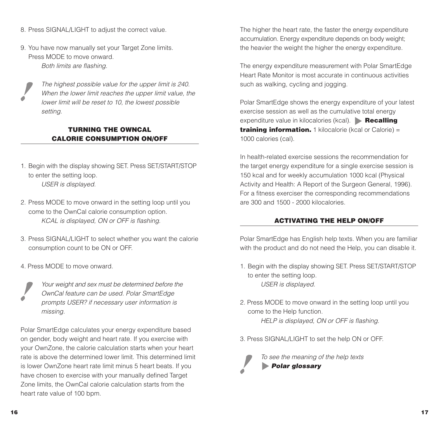- 8. Press SIGNAL/LIGHT to adjust the correct value.
- 9. You have now manually set your Target Zone limits. Press MODE to move onward.Both limits are flashing.



The highest possible value for the upper limit is 240. When the lower limit reaches the upper limit value, the lower limit will be reset to 10, the lowest possible setting.

#### **TURNING THE OWNCALCALORIE CONSUMPTION ON/OFF**

- 1. Begin with the display showing SET. Press SET/START/STOP to enter the setting loop. USER is displayed.
- 2. Press MODE to move onward in the setting loop until you come to the OwnCal calorie consumption option. KCAL is displayed, ON or OFF is flashing.
- 3. Press SIGNAL/LIGHT to select whether you want the calorie consumption count to be ON or OFF.
- 4. Press MODE to move onward.

Your weight and sex must be determined before the OwnCal feature can be used. Polar SmartEdge prompts USER? if necessary user information is missing.

Polar SmartEdge calculates your energy expenditure based on gender, body weight and heart rate. If you exercise with your OwnZone, the calorie calculation starts when your heart rate is above the determined lower limit. This determined limitis lower OwnZone heart rate limit minus 5 heart beats. If you have chosen to exercise with your manually defined Target Zone limits, the OwnCal calorie calculation starts from the heart rate value of 100 bpm.

The higher the heart rate, the faster the energy expenditure accumulation. Energy expenditure depends on body weight; the heavier the weight the higher the energy expenditure.

The energy expenditure measurement with Polar SmartEdge Heart Rate Monitor is most accurate in continuous activitiessuch as walking, cycling and jogging.

Polar SmartEdge shows the energy expenditure of your latest exercise session as well as the cumulative total energy expenditure value in kilocalories (kcal). **Recalling training information.** 1 kilocalorie (kcal or Calorie) = 1000 calories (cal).

In health-related exercise sessions the recommendation forthe target energy expenditure for a single exercise session is 150 kcal and for weekly accumulation 1000 kcal (Physical Activity and Health: A Report of the Surgeon General, 1996). For a fitness exerciser the corresponding recommendations are 300 and 1500 - 2000 kilocalories.

#### **ACTIVATING THE HELP ON/OFF**

Polar SmartEdge has English help texts. When you are familiar with the product and do not need the Help, you can disable it.

- 1. Begin with the display showing SET. Press SET/START/STOP to enter the setting loop. USER is displayed.
- 2. Press MODE to move onward in the setting loop until you come to the Help function. HELP is displayed, ON or OFF is flashing.
- 3. Press SIGNAL/LIGHT to set the help ON or OFF.

To see the meaning of the help texts **Polar glossary**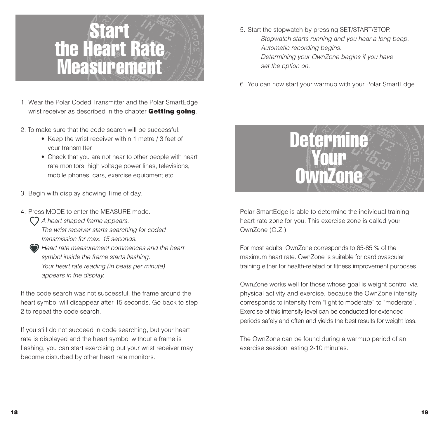

- 1. Wear the Polar Coded Transmitter and the Polar SmartEdge wrist receiver as described in the chapter **Getting going**.
- 2. To make sure that the code search will be successful:
	- Keep the wrist receiver within 1 metre / 3 feet of your transmitter
	- Check that you are not near to other people with heart rate monitors, high voltage power lines, televisions, mobile phones, cars, exercise equipment etc.
- 3. Begin with display showing Time of day.
- 4. Press MODE to enter the MEASURE mode.
	- $\bigcap$  A heart shaped frame appears. The wrist receiver starts searching for coded transmission for max. 15 seconds.
	- Heart rate measurement commences and the heart symbol inside the frame starts flashing. Your heart rate reading (in beats per minute) appears in the display.

If the code search was not successful, the frame around the heart symbol will disappear after 15 seconds. Go back to step 2 to repeat the code search.

If you still do not succeed in code searching, but your heart rate is displayed and the heart symbol without a frame is flashing, you can start exercising but your wrist receiver may become disturbed by other heart rate monitors.

- 5. Start the stopwatch by pressing SET/START/STOP. Stopwatch starts running and you hear a long beep. Automatic recording begins. Determining your OwnZone begins if you have set the option on.
- 6. You can now start your warmup with your Polar SmartEdge.



Polar SmartEdge is able to determine the individual training heart rate zone for you. This exercise zone is called your OwnZone (O.Z.).

For most adults, OwnZone corresponds to 65-85 % of the maximum heart rate. OwnZone is suitable for cardiovasculartraining either for health-related or fitness improvement purposes.

OwnZone works well for those whose goal is weight control via physical activity and exercise, because the OwnZone intensity corresponds to intensity from "light to moderate" to "moderate". Exercise of this intensity level can be conducted for extended periods safely and often and yields the best results for weight loss.

The OwnZone can be found during a warmup period of an exercise session lasting 2-10 minutes.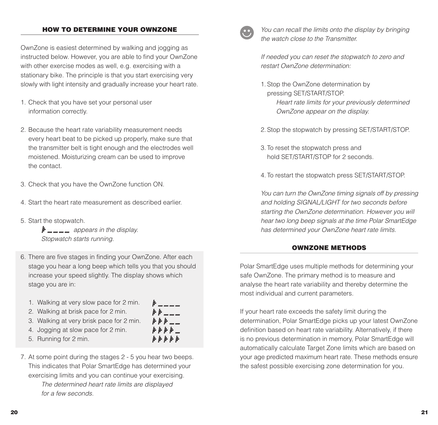#### **HOW TO DETERMINE YOUR OWNZONE**

OwnZone is easiest determined by walking and jogging as instructed below. However, you are able to find your OwnZone with other exercise modes as well, e.g. exercising with a stationary bike. The principle is that you start exercising very slowly with light intensity and gradually increase your heart rate.

- 1. Check that you have set your personal user information correctly.
- 2. Because the heart rate variability measurement needs every heart beat to be picked up properly, make sure that the transmitter belt is tight enough and the electrodes well moistened. Moisturizing cream can be used to improve the contact.
- 3. Check that you have the OwnZone function ON.
- 4. Start the heart rate measurement as described earlier.
- 5. Start the stopwatch.

 $\mathbf{F}$   $\mathbf{m}$   $\mathbf{m}$   $\mathbf{m}$  appears in the display. Stopwatch starts running.

6. There are five stages in finding your OwnZone. After each stage you hear a long beep which tells you that you should increase your speed slightly. The display shows which stage you are in:

> 1 . . . . . . . . .  $k \not\vdash k \dots$ *h h h h ..*. *.....*

- 1. Walking at very slow pace for 2 min.
- 2. Walking at brisk pace for 2 min.
- 3. Walking at very brisk pace for 2 min.
- 4. Jogging at slow pace for 2 min.
- 5. Running for 2 min.

7. At some point during the stages 2 - 5 you hear two beeps. This indicates that Polar SmartEdge has determined your exercising limits and you can continue your exercising.

> The determined heart rate limits are displayed for a few seconds.



You can recall the limits onto the display by bringing the watch close to the Transmitter.

If needed you can reset the stopwatch to zero and restart OwnZone determination:

- 1. Stop the OwnZone determination by pressing SET/START/STOP. Heart rate limits for your previously determined OwnZone appear on the display.
- 2. Stop the stopwatch by pressing SET/START/STOP.
- 3. To reset the stopwatch press and hold SET/START/STOP for 2 seconds.
- 4. To restart the stopwatch press SET/START/STOP.

You can turn the OwnZone timing signals off by pressing and holding SIGNAL/LIGHT for two seconds before starting the OwnZone determination. However you will hear two long beep signals at the time Polar SmartEdge has determined your OwnZone heart rate limits.

#### **OWNZONE METHODS**

Polar SmartEdge uses multiple methods for determining your safe OwnZone. The primary method is to measure and analyse the heart rate variability and thereby determine the most individual and current parameters.

If your heart rate exceeds the safety limit during the determination, Polar SmartEdge picks up your latest OwnZone definition based on heart rate variability. Alternatively, if there is no previous determination in memory, Polar SmartEdge will automatically calculate Target Zone limits which are based on your age predicted maximum heart rate. These methods ensure the safest possible exercising zone determination for you.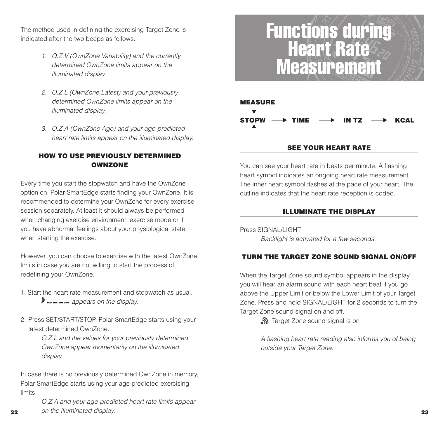The method used in defining the exercising Target Zone is indicated after the two beeps as follows:

- 1. O.Z.V (OwnZone Variability) and the currently determined OwnZone limits appear on the illuminated display.
- 2. O.Z.L (OwnZone Latest) and your previously determined OwnZone limits appear on the illuminated display.
- 3. O.Z.A (OwnZone Age) and your age-predicted heart rate limits appear on the illuminated display.

#### **HOW TO USE PREVIOUSLY DETERMINEDOWNZONE**

Every time you start the stopwatch and have the OwnZone option on, Polar SmartEdge starts finding your OwnZone. It is recommended to determine your OwnZone for every exercise session separately. At least it should always be performed when changing exercise environment, exercise mode or if you have abnormal feelings about your physiological state when starting the exercise.

However, you can choose to exercise with the latest OwnZone limits in case you are not willing to start the process of redefining your OwnZone.

- 1. Start the heart rate measurement and stopwatch as usual.  $\mathbf{F}$   $\mathbf{m}$   $\mathbf{m}$   $\mathbf{m}$  appears on the display.
- 2. Press SET/START/STOP. Polar SmartEdge starts using your latest determined OwnZone.

O.Z.L and the values for your previously determined OwnZone appear momentarily on the illuminated display.

In case there is no previously determined OwnZone in memory, Polar SmartEdge starts using your age predicted exercising limits.

**22**

 **23**on the illuminated display.O.Z.A and your age-predicted heart rate limits appear

### Functions during Heart Rate **Measurement**



#### **SEE YOUR HEART RATE**

You can see your heart rate in beats per minute. A flashing heart symbol indicates an ongoing heart rate measurement. The inner heart symbol flashes at the pace of your heart. The outline indicates that the heart rate reception is coded.

#### **ILLUMINATE THE DISPLAY**

Press SIGNAL/LIGHT. Backlight is activated for a few seconds.

#### **TURN THE TARGET ZONE SOUND SIGNAL ON/OFF**

When the Target Zone sound symbol appears in the display, you will hear an alarm sound with each heart beat if you go above the Upper Limit or below the Lower Limit of your Target Zone. Press and hold SIGNAL/LIGHT for 2 seconds to turn the Target Zone sound signal on and off.

Target Zone sound signal is on

A flashing heart rate reading also informs you of being outside your Target Zone.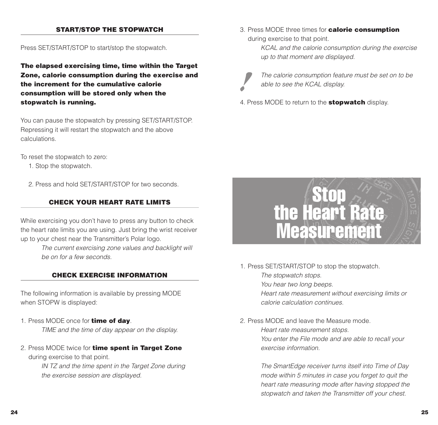#### **START/STOP THE STOPWATCH**

Press SET/START/STOP to start/stop the stopwatch.

**The elapsed exercising time, time within the Target Zone, calorie consumption during the exercise and the increment for the cumulative calorieconsumption will be stored only when the stopwatch is running.**

You can pause the stopwatch by pressing SET/START/STOP. Repressing it will restart the stopwatch and the above calculations.

To reset the stopwatch to zero:

- 1. Stop the stopwatch.
- 2. Press and hold SET/START/STOP for two seconds.

#### **CHECK YOUR HEART RATE LIMITS**

While exercising you don't have to press any button to check the heart rate limits you are using. Just bring the wrist receiver up to your chest near the Transmitter's Polar logo.

> The current exercising zone values and backlight will be on for a few seconds.

#### **CHECK EXERCISE INFORMATION**

The following information is available by pressing MODE when STOPW is displayed:

- 1. Press MODE once for **time of day**. TIME and the time of day appear on the display.
- 2. Press MODE twice for **time spent in Target Zone** during exercise to that point.

IN TZ and the time spent in the Target Zone during the exercise session are displayed.

3. Press MODE three times for **calorie consumption** during exercise to that point.

> KCAL and the calorie consumption during the exercise up to that moment are displayed.



The calorie consumption feature must be set on to be able to see the KCAL display.

4. Press MODE to return to the **stopwatch** display.



- 1. Press SET/START/STOP to stop the stopwatch. The stopwatch stops. You hear two long beeps. Heart rate measurement without exercising limits or calorie calculation continues.
- 2. Press MODE and leave the Measure mode.Heart rate measurement stops. You enter the File mode and are able to recall your exercise information.

The SmartEdge receiver turns itself into Time of Day mode within 5 minutes in case you forget to quit the heart rate measuring mode after having stopped the stopwatch and taken the Transmitter off your chest.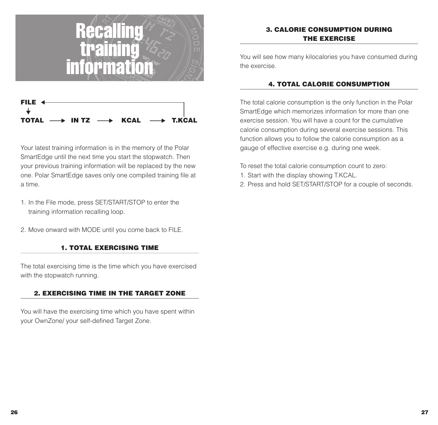



Your latest training information is in the memory of the Polar SmartEdge until the next time you start the stopwatch. Then your previous training information will be replaced by the new one. Polar SmartEdge saves only one compiled training file at a time.

- 1. In the File mode, press SET/START/STOP to enter the training information recalling loop.
- 2. Move onward with MODE until you come back to FILE.

#### **1. TOTAL EXERCISING TIME**

The total exercising time is the time which you have exercised with the stopwatch running.

#### **2. EXERCISING TIME IN THE TARGET ZONE**

You will have the exercising time which you have spent within your OwnZone/ your self-defined Target Zone.

#### **3. CALORIE CONSUMPTION DURINGTHE EXERCISE**

You will see how many kilocalories you have consumed during the exercise.

#### **4. TOTAL CALORIE CONSUMPTION**

The total calorie consumption is the only function in the Polar SmartEdge which memorizes information for more than one exercise session. You will have a count for the cumulativecalorie consumption during several exercise sessions. This function allows you to follow the calorie consumption as a gauge of effective exercise e.g. during one week.

To reset the total calorie consumption count to zero:

- 1. Start with the display showing T.KCAL.
- 2. Press and hold SET/START/STOP for a couple of seconds.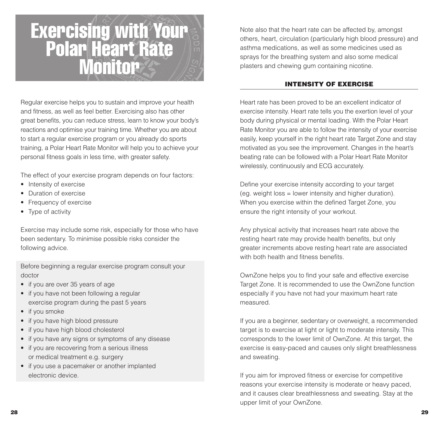

Regular exercise helps you to sustain and improve your health and fitness, as well as feel better. Exercising also has other great benefits, you can reduce stress, learn to know your body's reactions and optimise your training time. Whether you are about to start a regular exercise program or you already do sports training, a Polar Heart Rate Monitor will help you to achieve your personal fitness goals in less time, with greater safety.

The effect of your exercise program depends on four factors:

- Intensity of exercise
- Duration of exercise
- Frequency of exercise
- Type of activity

Exercise may include some risk, especially for those who have been sedentary. To minimise possible risks consider the following advice.

Before beginning a regular exercise program consult your doctor

- if you are over 35 years of age
- if you have not been following a regular exercise program during the past 5 years
- if you smoke
- if you have high blood pressure
- if you have high blood cholesterol
- if you have any signs or symptoms of any disease
- if you are recovering from a serious illness or medical treatment e.g. surgery
- if you use a pacemaker or another implanted electronic device.

Note also that the heart rate can be affected by, amongst others, heart, circulation (particularly high blood pressure) and asthma medications, as well as some medicines used as sprays for the breathing system and also some medical plasters and chewing gum containing nicotine.

#### **INTENSITY OF EXERCISE**

Heart rate has been proved to be an excellent indicator of exercise intensity. Heart rate tells you the exertion level of your body during physical or mental loading. With the Polar Heart Rate Monitor you are able to follow the intensity of your exercise easily, keep yourself in the right heart rate Target Zone and stay motivated as you see the improvement. Changes in the heart's beating rate can be followed with a Polar Heart Rate Monitor wirelessly, continuously and ECG accurately.

Define your exercise intensity according to your target (eg. weight loss = lower intensity and higher duration). When you exercise within the defined Target Zone, you ensure the right intensity of your workout.

Any physical activity that increases heart rate above the resting heart rate may provide health benefits, but only greater increments above resting heart rate are associated with both health and fitness benefits.

OwnZone helps you to find your safe and effective exercise Target Zone. It is recommended to use the OwnZone function especially if you have not had your maximum heart rate measured.

If you are a beginner, sedentary or overweight, a recommended target is to exercise at light or light to moderate intensity. This corresponds to the lower limit of OwnZone. At this target, the exercise is easy-paced and causes only slight breathlessness and sweating.

If you aim for improved fitness or exercise for competitive reasons your exercise intensity is moderate or heavy paced, and it causes clear breathlessness and sweating. Stay at the upper limit of your OwnZone.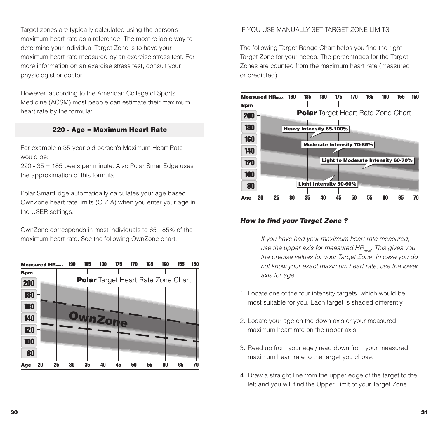Target zones are typically calculated using the person's maximum heart rate as a reference. The most reliable way to determine your individual Target Zone is to have your maximum heart rate measured by an exercise stress test. For more information on an exercise stress test, consult your physiologist or doctor.

However, according to the American College of Sports Medicine (ACSM) most people can estimate their maximum heart rate by the formula:

#### **220 - Age = Maximum Heart Rate**

For example a 35-year old person's Maximum Heart Rate would be:

220 - 35 = 185 beats per minute. Also Polar SmartEdge uses the approximation of this formula.

Polar SmartEdge automatically calculates your age based OwnZone heart rate limits (O.Z.A) when you enter your age in the USER settings.

OwnZone corresponds in most individuals to 65 - 85% of the maximum heart rate. See the following OwnZone chart.



#### IF YOU USE MANUALLY SET TARGET ZONE LIMITS

The following Target Range Chart helps you find the right Target Zone for your needs. The percentages for the Target Zones are counted from the maximum heart rate (measured or predicted).



#### **How to find your Target Zone ?**

If you have had your maximum heart rate measured, use the upper axis for measured  $HR_{\text{max}}$ . This gives you the precise values for your Target Zone. In case you do not know your exact maximum heart rate, use the lower axis for age.

- 1. Locate one of the four intensity targets, which would be most suitable for you. Each target is shaded differently.
- 2. Locate your age on the down axis or your measured maximum heart rate on the upper axis.
- 3. Read up from your age / read down from your measured maximum heart rate to the target you chose.
- 4. Draw a straight line from the upper edge of the target to the left and you will find the Upper Limit of your Target Zone.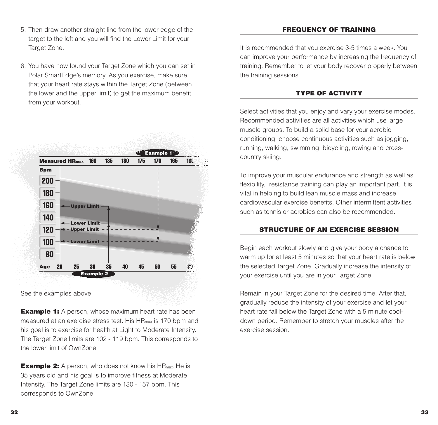- 5. Then draw another straight line from the lower edge of the target to the left and you will find the Lower Limit for your Target Zone.
- 6. You have now found your Target Zone which you can set in Polar SmartEdge's memory. As you exercise, make sure that your heart rate stays within the Target Zone (between the lower and the upper limit) to get the maximum benefit from your workout.



See the examples above:

**Example 1:** A person, whose maximum heart rate has been measured at an exercise stress test. His HRmax is 170 bpm and his goal is to exercise for health at Light to Moderate Intensity. The Target Zone limits are 102 - 119 bpm. This corresponds to the lower limit of OwnZone.

**Example 2:** A person, who does not know his HR<sub>max</sub>. He is 35 years old and his goal is to improve fitness at Moderate Intensity. The Target Zone limits are 130 - 157 bpm. This corresponds to OwnZone.

#### **FREQUENCY OF TRAINING**

It is recommended that you exercise 3-5 times a week. You can improve your performance by increasing the frequency of training. Remember to let your body recover properly between the training sessions.

#### **TYPE OF ACTIVITY**

Select activities that you enjoy and vary your exercise modes. Recommended activities are all activities which use large muscle groups. To build a solid base for your aerobic conditioning, choose continuous activities such as jogging, running, walking, swimming, bicycling, rowing and crosscountry skiing.

To improve your muscular endurance and strength as well as flexibility, resistance training can play an important part. It is vital in helping to build lean muscle mass and increase cardiovascular exercise benefits. Other intermittent activitiessuch as tennis or aerobics can also be recommended.

#### **STRUCTURE OF AN EXERCISE SESSION**

Begin each workout slowly and give your body a chance to warm up for at least 5 minutes so that your heart rate is below the selected Target Zone. Gradually increase the intensity of your exercise until you are in your Target Zone.

Remain in your Target Zone for the desired time. After that, gradually reduce the intensity of your exercise and let your heart rate fall below the Target Zone with a 5 minute cooldown period. Remember to stretch your muscles after the exercise session.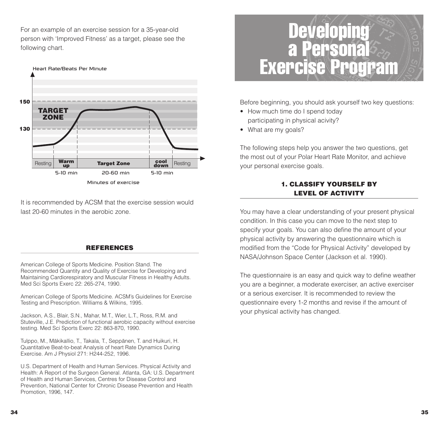For an example of an exercise session for a 35-year-old person with 'Improved Fitness' as a target, please see the following chart.



It is recommended by ACSM that the exercise session would last 20-60 minutes in the aerobic zone.

#### **REFERENCES**

American College of Sports Medicine. Position Stand. The Recommended Quantity and Quality of Exercise for Developing and Maintaining Cardiorespiratory and Muscular Fitness in Healthy Adults. Med Sci Sports Exerc 22: 265-274, 1990.

American College of Sports Medicine. ACSM's Guidelines for Exercise Testing and Prescription. Williams & Wilkins, 1995.

Jackson, A.S., Blair, S.N., Mahar, M.T., Wier, L.T., Ross, R.M. and Stuteville, J.E. Prediction of functional aerobic capacity without exercise testing. Med Sci Sports Exerc 22: 863-870, 1990.

Tulppo, M., Mäkikallio, T., Takala, T., Seppänen, T. and Huikuri, H. Quantitative Beat-to-beat Analysis of heart Rate Dynamics During Exercise. Am J Physiol 271: H244-252, 1996.

U.S. Department of Health and Human Services. Physical Activity and Health: A Report of the Surgeon General. Atlanta, GA: U.S. Department of Health and Human Services, Centres for Disease Control and Prevention, National Center for Chronic Disease Prevention and Health Promotion, 1996, 147.



Before beginning, you should ask yourself two key questions:

- How much time do I spend today participating in physical acivity?
- What are my goals?

The following steps help you answer the two questions, get the most out of your Polar Heart Rate Monitor, and achieve your personal exercise goals.

#### **1. CLASSIFY YOURSELF BYLEVEL OF ACTIVITY**

You may have a clear understanding of your present physical condition. In this case you can move to the next step to specify your goals. You can also define the amount of your physical activity by answering the questionnaire which is modified from the "Code for Physical Activity" developed by NASA/Johnson Space Center (Jackson et al. 1990).

The questionnaire is an easy and quick way to define weather you are a beginner, a moderate exerciser, an active exerciser or a serious exerciser. It is recommended to review thequestionnaire every 1-2 months and revise if the amount of your physical activity has changed.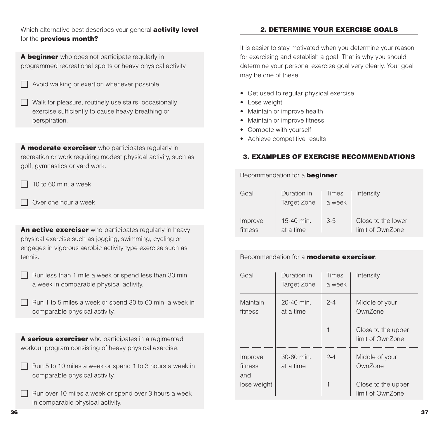Which alternative best describes your general **activity level** for the **previous month?**

**A beginner** who does not participate regularly in programmed recreational sports or heavy physical activity.

- ❑ Avoid walking or exertion whenever possible.
- ❑ Walk for pleasure, routinely use stairs, occasionally exercise sufficiently to cause heavy breathing or perspiration.

**A moderate exerciser** who participates regularly in recreation or work requiring modest physical activity, such as golf, gymnastics or yard work.

 $\Box$  10 to 60 min. a week

❑ Over one hour a week

**An active exerciser** who participates regularly in heavy physical exercise such as jogging, swimming, cycling or engages in vigorous aerobic activity type exercise such as tennis.

❑ Run less than 1 mile a week or spend less than 30 min. a week in comparable physical activity.

❑ Run 1 to 5 miles a week or spend 30 to 60 min. a week in comparable physical activity.

**A serious exerciser** who participates in a regimented workout program consisting of heavy physical exercise.

- ❑ Run 5 to 10 miles a week or spend 1 to 3 hours a week in comparable physical activity.
- ❑ Run over 10 miles a week or spend over 3 hours a week in comparable physical activity.

#### **2. DETERMINE YOUR EXERCISE GOALS**

It is easier to stay motivated when you determine your reason for exercising and establish a goal. That is why you should determine your personal exercise goal very clearly. Your goal may be one of these:

- Get used to regular physical exercise
- Lose weight
- Maintain or improve health
- Maintain or improve fitness
- Compete with yourself
- Achieve competitive results

#### **3. EXAMPLES OF EXERCISE RECOMMENDATIONS**

Recommendation for a **beginner**:

| Goal    | Duration in<br>Target Zone | Times<br>a week | Intensity          |
|---------|----------------------------|-----------------|--------------------|
| Improve | 15-40 min.                 | $3-5$           | Close to the lower |
| fitness | at a time                  |                 | limit of OwnZone   |

#### Recommendation for a **moderate exerciser**:

| Goal                      | Duration in<br>Target Zone | <b>Times</b><br>a week | Intensity                              |
|---------------------------|----------------------------|------------------------|----------------------------------------|
| Maintain<br>fitness       | 20-40 min.<br>at a time    | $2 - 4$                | Middle of your<br>OwnZone              |
|                           |                            | 1                      | Close to the upper<br>limit of OwnZone |
| Improve<br>fitness<br>and | 30-60 min.<br>at a time    | $2 - 4$                | Middle of your<br>OwnZone              |
| lose weight               |                            | 1                      | Close to the upper<br>limit of OwnZone |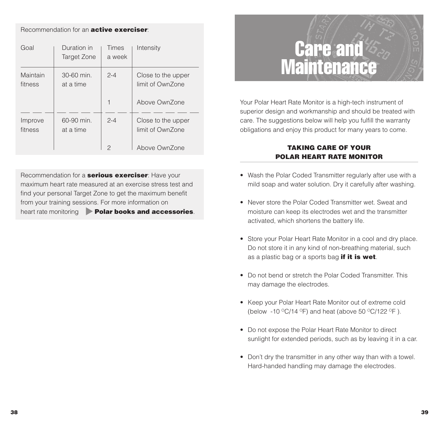#### Recommendation for an **active exerciser**:

| Goal                | Duration in<br>Target Zone | Times<br>a week | Intensity                              |
|---------------------|----------------------------|-----------------|----------------------------------------|
| Maintain<br>fitness | 30-60 min.<br>at a time    | $2 - 4$         | Close to the upper<br>limit of OwnZone |
|                     |                            |                 | Above OwnZone                          |
| Improve<br>fitness  | 60-90 min.<br>at a time    | $2 - 4$         | Close to the upper<br>limit of OwnZone |
|                     |                            | 2               | Above OwnZone                          |

Recommendation for a **serious exerciser**: Have your maximum heart rate measured at an exercise stress test andfind your personal Target Zone to get the maximum benefit from your training sessions. For more information on heart rate monitoring **Polar books and accessories**.



Your Polar Heart Rate Monitor is a high-tech instrument of superior design and workmanship and should be treated with care. The suggestions below will help you fulfill the warranty obligations and enjoy this product for many years to come.

#### **TAKING CARE OF YOURPOLAR HEART RATE MONITOR**

- Wash the Polar Coded Transmitter regularly after use with a mild soap and water solution. Dry it carefully after washing.
- Never store the Polar Coded Transmitter wet. Sweat andmoisture can keep its electrodes wet and the transmitter activated, which shortens the battery life.
- Store your Polar Heart Rate Monitor in a cool and dry place. Do not store it in any kind of non-breathing material, such as a plastic bag or a sports bag **if it is wet**.
- Do not bend or stretch the Polar Coded Transmitter. Thismay damage the electrodes.
- Keep your Polar Heart Rate Monitor out of extreme cold (below -10  $\mathrm{^{\circ}C}/14$   $\mathrm{^{\circ}F}$ ) and heat (above 50  $\mathrm{^{\circ}C}/122$   $\mathrm{^{\circ}F}$ ).
- Do not expose the Polar Heart Rate Monitor to direct sunlight for extended periods, such as by leaving it in a car.
- Don't dry the transmitter in any other way than with a towel. Hard-handed handling may damage the electrodes.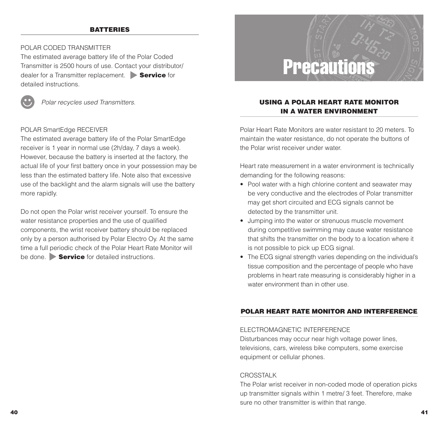#### **BATTERIES**

#### POLAR CODED TRANSMITTER

The estimated average battery life of the Polar Coded Transmitter is 2500 hours of use. Contact your distributor/ dealer for a Transmitter replacement. **Service** for detailed instructions.



Polar recycles used Transmitters.

#### POLAR SmartEdge RECEIVER

The estimated average battery life of the Polar SmartEdge receiver is 1 year in normal use (2h/day, 7 days a week). However, because the battery is inserted at the factory, the actual life of your first battery once in your possession may be less than the estimated battery life. Note also that excessive use of the backlight and the alarm signals will use the battery more rapidly.

Do not open the Polar wrist receiver yourself. To ensure the water resistance properties and the use of qualified components, the wrist receiver battery should be replaced only by a person authorised by Polar Electro Oy. At the same time a full periodic check of the Polar Heart Rate Monitor will be done. **Service** for detailed instructions.



#### **USING A POLAR HEART RATE MONITORIN A WATER ENVIRONMENT**

Polar Heart Rate Monitors are water resistant to 20 meters. Tomaintain the water resistance, do not operate the buttons of the Polar wrist receiver under water.

Heart rate measurement in a water environment is technically demanding for the following reasons:

- Pool water with a high chlorine content and seawater may be very conductive and the electrodes of Polar transmitter may get short circuited and ECG signals cannot be detected by the transmitter unit.
- Jumping into the water or strenuous muscle movement during competitive swimming may cause water resistance that shifts the transmitter on the body to a location where it is not possible to pick up ECG signal.
- The ECG signal strength varies depending on the individual's tissue composition and the percentage of people who have problems in heart rate measuring is considerably higher in a water environment than in other use.

#### **POLAR HEART RATE MONITOR AND INTERFERENCE**

#### ELECTROMAGNETIC INTERFERENCE

Disturbances may occur near high voltage power lines, televisions, cars, wireless bike computers, some exercise equipment or cellular phones.

#### **CROSSTALK**

The Polar wrist receiver in non-coded mode of operation picks up transmitter signals within 1 metre/ 3 feet. Therefore, make sure no other transmitter is within that range.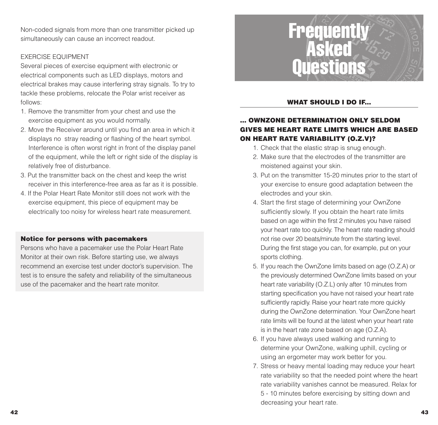Non-coded signals from more than one transmitter picked up simultaneously can cause an incorrect readout.

#### EXERCISE EQUIPMENT

Several pieces of exercise equipment with electronic or electrical components such as LED displays, motors and electrical brakes may cause interfering stray signals. To try to tackle these problems, relocate the Polar wrist receiver as follows:

- 1. Remove the transmitter from your chest and use the exercise equipment as you would normally.
- 2. Move the Receiver around until you find an area in which it displays no stray reading or flashing of the heart symbol. Interference is often worst right in front of the display panel of the equipment, while the left or right side of the display is relatively free of disturbance.
- 3. Put the transmitter back on the chest and keep the wrist receiver in this interference-free area as far as it is possible.
- 4. If the Polar Heart Rate Monitor still does not work with theexercise equipment, this piece of equipment may be electrically too noisy for wireless heart rate measurement.

#### **Notice for persons with pacemakers**

Persons who have a pacemaker use the Polar Heart Rate Monitor at their own risk. Before starting use, we always recommend an exercise test under doctor's supervision. The test is to ensure the safety and reliability of the simultaneous use of the pacemaker and the heart rate monitor.



#### **WHAT SHOULD I DO IF...**

#### **... OWNZONE DETERMINATION ONLY SELDOMGIVES ME HEART RATE LIMITS WHICH ARE BASEDON HEART RATE VARIABILITY (O.Z.V)?**

- 1. Check that the elastic strap is snug enough.
- 2. Make sure that the electrodes of the transmitter aremoistened against your skin.
- 3. Put on the transmitter 15-20 minutes prior to the start of your exercise to ensure good adaptation between the electrodes and your skin.
- 4. Start the first stage of determining your OwnZone sufficiently slowly. If you obtain the heart rate limits based on age within the first 2 minutes you have raised your heart rate too quickly. The heart rate reading should not rise over 20 beats/minute from the starting level. During the first stage you can, for example, put on your sports clothing.
- 5. If you reach the OwnZone limits based on age (O.Z.A) or the previously determined OwnZone limits based on your heart rate variability (O.Z.L) only after 10 minutes from starting specification you have not raised your heart rate sufficiently rapidly. Raise your heart rate more quickly during the OwnZone determination. Your OwnZone heart rate limits will be found at the latest when your heart rate is in the heart rate zone based on age (O.Z.A).
- 6. If you have always used walking and running to determine your OwnZone, walking uphill, cycling or using an ergometer may work better for you.
- 7. Stress or heavy mental loading may reduce your heart rate variability so that the needed point where the heart rate variability vanishes cannot be measured. Relax for 5 - 10 minutes before exercising by sitting down and decreasing your heart rate.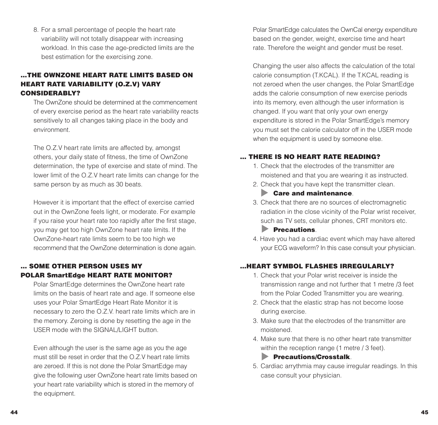8. For a small percentage of people the heart rate variability will not totally disappear with increasing workload. In this case the age-predicted limits are the best estimation for the exercising zone.

#### **...THE OWNZONE HEART RATE LIMITS BASED ONHEART RATE VARIABILITY (O.Z.V) VARY CONSIDERABLY?**

The OwnZone should be determined at the commencementof every exercise period as the heart rate variability reacts sensitively to all changes taking place in the body and environment.

The O.Z.V heart rate limits are affected by, amongst others, your daily state of fitness, the time of OwnZone determination, the type of exercise and state of mind. The lower limit of the O.Z.V heart rate limits can change for the same person by as much as 30 beats.

However it is important that the effect of exercise carried out in the OwnZone feels light, or moderate. For example if you raise your heart rate too rapidly after the first stage, you may get too high OwnZone heart rate limits. If the OwnZone-heart rate limits seem to be too high we recommend that the OwnZone determination is done again.

#### **... SOME OTHER PERSON USES MYPOLAR SmartEdge HEART RATE MONITOR?**

Polar SmartEdge determines the OwnZone heart rate limits on the basis of heart rate and age. If someone else uses your Polar SmartEdge Heart Rate Monitor it is necessary to zero the O.Z.V. heart rate limits which are in the memory. Zeroing is done by resetting the age in the USER mode with the SIGNAL/LIGHT button.

Even although the user is the same age as you the age must still be reset in order that the O.Z.V heart rate limitsare zeroed. If this is not done the Polar SmartEdge may give the following user OwnZone heart rate limits based on your heart rate variability which is stored in the memory of the equipment.

Polar SmartEdge calculates the OwnCal energy expenditure based on the gender, weight, exercise time and heart rate. Therefore the weight and gender must be reset.

Changing the user also affects the calculation of the total calorie consumption (T.KCAL). If the T.KCAL reading is not zeroed when the user changes, the Polar SmartEdge adds the calorie consumption of new exercise periods into its memory, even although the user information is changed. If you want that only your own energy expenditure is stored in the Polar SmartEdge's memory you must set the calorie calculator off in the USER mode when the equipment is used by someone else.

#### **... THERE IS NO HEART RATE READING?**

- 1. Check that the electrodes of the transmitter aremoistened and that you are wearing it as instructed.
- 2. Check that you have kept the transmitter clean.

#### **Care and maintenance**.

- 3. Check that there are no sources of electromagnetic radiation in the close vicinity of the Polar wrist receiver, such as TV sets, cellular phones, CRT monitors etc.  **Precautions**.
- 4. Have you had a cardiac event which may have altered your ECG waveform? In this case consult your physician.

#### **...HEART SYMBOL FLASHES IRREGULARLY?**

- 1. Check that your Polar wrist receiver is inside the transmission range and not further that 1 metre /3 feet from the Polar Coded Transmitter you are wearing.
- 2. Check that the elastic strap has not become loose during exercise.
- 3. Make sure that the electrodes of the transmitter aremoistened.
- 4. Make sure that there is no other heart rate transmitterwithin the reception range (1 metre / 3 feet).

#### **Precautions/Crosstalk**.

5. Cardiac arrythmia may cause irregular readings. In this case consult your physician.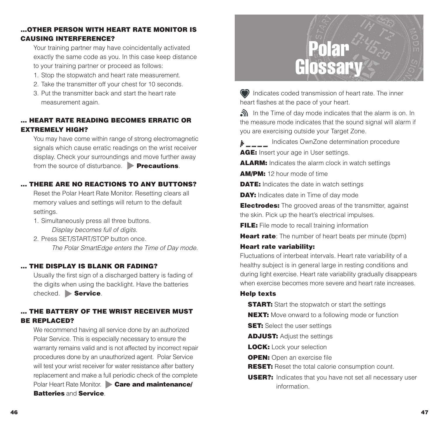#### **...OTHER PERSON WITH HEART RATE MONITOR ISCAUSING INTERFERENCE?**

Your training partner may have coincidentally activated exactly the same code as you. In this case keep distance to your training partner or proceed as follows:

- 1. Stop the stopwatch and heart rate measurement.
- 2. Take the transmitter off your chest for 10 seconds.
- 3. Put the transmitter back and start the heart ratemeasurement again.

#### **... HEART RATE READING BECOMES ERRATIC OREXTREMELY HIGH?**

You may have come within range of strong electromagnetic signals which cause erratic readings on the wrist receiver display. Check your surroundings and move further away from the source of disturbance. **Precautions**.

#### **... THERE ARE NO REACTIONS TO ANY BUTTONS?**

Reset the Polar Heart Rate Monitor. Resetting clears all memory values and settings will return to the default settings.

- 1. Simultaneously press all three buttons. Display becomes full of digits.
- 2. Press SET/START/STOP button once. The Polar SmartEdge enters the Time of Day mode.

#### **... THE DISPLAY IS BLANK OR FADING?**

Usually the first sign of a discharged battery is fading of the digits when using the backlight. Have the batteries checked. **Service**.

#### **... THE BATTERY OF THE WRIST RECEIVER MUSTBE REPLACED?**

We recommend having all service done by an authorized Polar Service. This is especially necessary to ensure the warranty remains valid and is not affected by incorrect repair procedures done by an unauthorized agent. Polar Service will test your wrist receiver for water resistance after battery replacement and make a full periodic check of the complete Polar Heart Rate Monitor. **Care and maintenance/ Batteries** and **Service**.

# Polar Glossary

Indicates coded transmission of heart rate. The inner heart flashes at the pace of your heart.

In the Time of day mode indicates that the alarm is on. In the measure mode indicates that the sound signal will alarm if you are exercising outside your Target Zone.

Indicates OwnZone determination procedure **AGE:** Insert your age in User settings.

**ALARM:** Indicates the alarm clock in watch settings

**AM/PM:** 12 hour mode of time

**DATE:** Indicates the date in watch settings

**DAY:** Indicates date in Time of day mode

**Electrodes:** The grooved areas of the transmitter, against the skin. Pick up the heart's electrical impulses.

**FILE:** File mode to recall training information

**Heart rate**: The number of heart beats per minute (bpm)

#### **Heart rate variability:**

Fluctuations of interbeat intervals. Heart rate variability of a healthy subject is in general large in resting conditions and during light exercise. Heart rate variability gradually disappears when exercise becomes more severe and heart rate increases.

#### **Help texts**

**START:** Start the stopwatch or start the settings

- **NEXT:** Move onward to a following mode or function
- **SET:** Select the user settings

**ADJUST:** Adjust the settings

**LOCK:** Lock your selection

**OPEN:** Open an exercise file

**RESET:** Reset the total calorie consumption count.

**USER?:** Indicates that you have not set all necessary user information.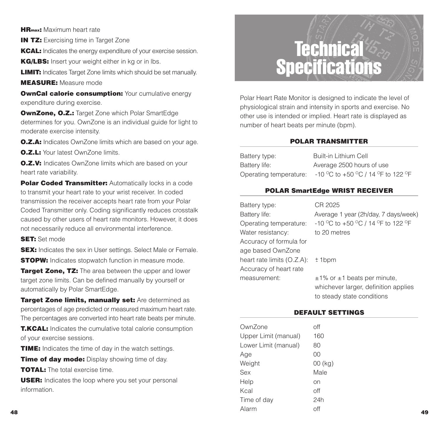**HRmax:** Maximum heart rate

**IN TZ:** Exercising time in Target Zone

**KCAL:** Indicates the energy expenditure of your exercise session.

**KG/LBS:** Insert your weight either in kg or in lbs.

**LIMIT:** Indicates Target Zone limits which should be set manually.

**MEASURE:** Measure mode

**OwnCal calorie consumption:** Your cumulative energy expenditure during exercise.

**OwnZone, O.Z.:** Target Zone which Polar SmartEdge determines for you. OwnZone is an individual guide for light to moderate exercise intensity.

**O.Z.A:** Indicates OwnZone limits which are based on your age.

**O.Z.L:** Your latest OwnZone limits.

**O.Z.V:** Indicates OwnZone limits which are based on your heart rate variability.

**Polar Coded Transmitter:** Automatically locks in a code to transmit your heart rate to your wrist receiver. In coded transmission the receiver accepts heart rate from your Polar Coded Transmitter only. Coding significantly reduces crosstalk caused by other users of heart rate monitors. However, it does not necessarily reduce all environmental interference.

**SET:** Set mode

**SEX:** Indicates the sex in User settings. Select Male or Female. **STOPW:** Indicates stopwatch function in measure mode.

**Target Zone. TZ:** The area between the upper and lower target zone limits. Can be defined manually by yourself or automatically by Polar SmartEdge.

**Target Zone limits, manually set:** Are determined as percentages of age predicted or measured maximum heart rate. The percentages are converted into heart rate beats per minute.

## Technical Specifications

Polar Heart Rate Monitor is designed to indicate the level of physiological strain and intensity in sports and exercise. No other use is intended or implied. Heart rate is displayed as number of heart beats per minute (bpm).

#### **POLAR TRANSMITTER**

Battery type: Built-in Lithium Cell Battery life: Average 2500 hours of use Operating temperature:  $-10\,^{\circ}\text{C}$  to  $+50\,^{\circ}\text{C}$  / 14  $^{\circ}\text{F}$  to 122  $^{\circ}\text{F}$ 

#### **POLAR SmartEdge WRIST RECEIVER**

| Battery type:                 | CR 2025                               |
|-------------------------------|---------------------------------------|
| Battery life:                 | Average 1 year (2h/day, 7 days/week)  |
| Operating temperature:        | -10 °C to +50 °C / 14 °F to 122 °F    |
| Water resistancy:             | to 20 metres                          |
| Accuracy of formula for       |                                       |
| age based OwnZone             |                                       |
| heart rate limits $(O.Z.A)$ : | $±1$ bpm                              |
| Accuracy of heart rate        |                                       |
| measurement:                  | $\pm$ 1% or $\pm$ 1 beats per minute, |
|                               | whichever larger, definition applies  |
|                               | to steady state conditions            |

#### **DEFAULT SETTINGS**

| 8                                                                 | Alarm                | off       | 49 |
|-------------------------------------------------------------------|----------------------|-----------|----|
|                                                                   | Time of day          | 24h       |    |
| information.                                                      | Kcal                 | off       |    |
| <b>USER:</b> Indicates the loop where you set your personal       | Help                 | on        |    |
| <b>TOTAL:</b> The total exercise time.                            | Sex                  | Male      |    |
| <b>Time of day mode:</b> Display showing time of day.             | Weight               | $00$ (kg) |    |
|                                                                   | Age                  | 00        |    |
| <b>TIME:</b> Indicates the time of day in the watch settings.     | Lower Limit (manual) | 80        |    |
| of your exercise sessions.                                        | Upper Limit (manual) | 160       |    |
| <b>T.KCAL:</b> Indicates the cumulative total calorie consumption | OwnZone              | off       |    |
| THE DETCE RayES are CONVERED INTO HEAR LIGHT DEALS DELITIONER.    |                      |           |    |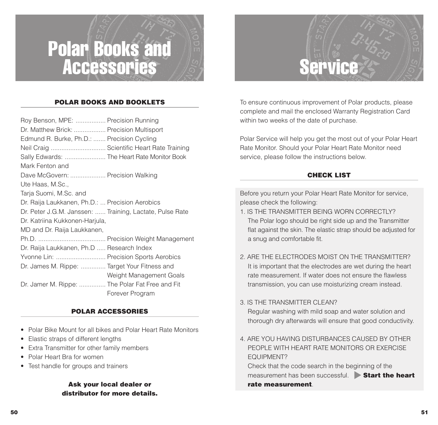## Polar Books and Accessories

#### **POLAR BOOKS AND BOOKLETS**

| Roy Benson, MPE:  Precision Running                      |                         |
|----------------------------------------------------------|-------------------------|
| Dr. Matthew Brick:  Precision Multisport                 |                         |
| Edmund R. Burke, Ph.D.:  Precision Cycling               |                         |
| Neil Craig  Scientific Heart Rate Training               |                         |
| Sally Edwards:  The Heart Rate Monitor Book              |                         |
| Mark Fenton and                                          |                         |
| Dave McGovern:  Precision Walking                        |                         |
| Ute Haas, M.Sc.,                                         |                         |
| Tarja Suomi, M.Sc. and                                   |                         |
| Dr. Raija Laukkanen, Ph.D.:  Precision Aerobics          |                         |
| Dr. Peter J.G.M. Janssen:  Training, Lactate, Pulse Rate |                         |
| Dr. Katriina Kukkonen-Harjula,                           |                         |
| MD and Dr. Raija Laukkanen,                              |                         |
|                                                          |                         |
| Dr. Raija Laukkanen, Ph.D  Research Index                |                         |
| Yvonne Lin:  Precision Sports Aerobics                   |                         |
| Dr. James M. Rippe:  Target Your Fitness and             |                         |
|                                                          | Weight Management Goals |
| Dr. Jamer M. Rippe:  The Polar Fat Free and Fit          |                         |
|                                                          | Forever Program         |

#### **POLAR ACCESSORIES**

- Polar Bike Mount for all bikes and Polar Heart Rate Monitors
- Elastic straps of different lengths
- Extra Transmitter for other family members
- Polar Heart Bra for women
- Test handle for groups and trainers

#### **Ask your local dealer or distributor for more details.**



To ensure continuous improvement of Polar products, please complete and mail the enclosed Warranty Registration Card within two weeks of the date of purchase.

Polar Service will help you get the most out of your Polar Heart Rate Monitor. Should your Polar Heart Rate Monitor need service, please follow the instructions below.

#### **CHECK LIST**

Before you return your Polar Heart Rate Monitor for service, please check the following:

- 1. IS THE TRANSMITTER BEING WORN CORRECTLY?The Polar logo should be right side up and the Transmitter flat against the skin. The elastic strap should be adjusted for a snug and comfortable fit.
- 2. ARE THE ELECTRODES MOIST ON THE TRANSMITTER?It is important that the electrodes are wet during the heart rate measurement. If water does not ensure the flawlesstransmission, you can use moisturizing cream instead.
- 3. IS THE TRANSMITTER CLEAN?

Regular washing with mild soap and water solution and thorough dry afterwards will ensure that good conductivity.

4. ARE YOU HAVING DISTURBANCES CAUSED BY OTHERPEOPLE WITH HEART RATE MONITORS OR EXERCISEEQUIPMENT?

Check that the code search in the beginning of the measurement has been successful. **Start the heart rate measurement**.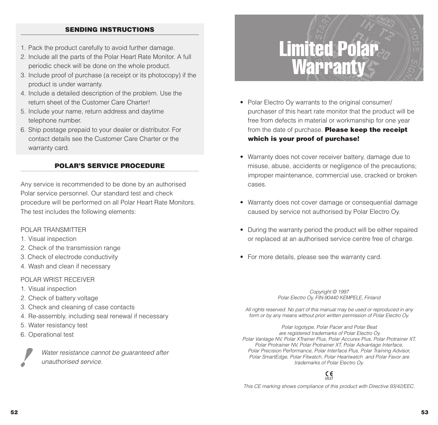#### **SENDING INSTRUCTIONS**

- 1. Pack the product carefully to avoid further damage.
- 2. Include all the parts of the Polar Heart Rate Monitor. A full periodic check will be done on the whole product.
- 3. Include proof of purchase (a receipt or its photocopy) if the product is under warranty.
- 4. Include a detailed description of the problem. Use the return sheet of the Customer Care Charter!
- 5. Include your name, return address and daytime telephone number.
- 6. Ship postage prepaid to your dealer or distributor. For contact details see the Customer Care Charter or thewarranty card.

#### **POLAR'S SERVICE PROCEDURE**

Any service is recommended to be done by an authorised Polar service personnel. Our standard test and check procedure will be performed on all Polar Heart Rate Monitors. The test includes the following elements:

#### POLAR TRANSMITTER

- 1. Visual inspection
- 2. Check of the transmission range
- 3. Check of electrode conductivity
- 4. Wash and clean if necessary

#### POLAR WRIST RECEIVER

- 1. Visual inspection
- 2. Check of battery voltage
- 3. Check and cleaning of case contacts
- 4. Re-assembly, including seal renewal if necessary
- 5. Water resistancy test
- 6. Operational test

Water resistance cannot be quaranteed after unauthorised service.

## Limited Polar Warranty

- Polar Electro Oy warrants to the original consumer/ purchaser of this heart rate monitor that the product will be free from defects in material or workmanship for one year from the date of purchase. **Please keep the receipt which is your proof of purchase!**
- Warranty does not cover receiver battery, damage due to misuse, abuse, accidents or negligence of the precautions; improper maintenance, commercial use, cracked or broken cases.
- Warranty does not cover damage or consequential damage caused by service not authorised by Polar Electro Oy.
- During the warranty period the product will be either repaired or replaced at an authorised service centre free of charge.
- For more details, please see the warranty card.

Copyright © 1997 Polar Electro Oy, FIN-90440 KEMPELE, Finland

All rights reserved. No part of this manual may be used or reproduced in any form or by any means without prior written permission of Polar Electro Oy.

Polar logotype, Polar Pacer and Polar Beat are registered trademarks of Polar Electro Oy. Polar Vantage NV, Polar XTrainer Plus, Polar Accurex Plus, Polar Protrainer XT, Polar Protrainer NV, Polar Protrainer XT, Polar Advantage Interface, Polar Precision Performance, Polar Interface Plus, Polar Training Advisor, Polar SmartEdge, Polar Fitwatch, Polar Heartwatch and Polar Favor are trademarks of Polar Electro Oy.

#### 0537

This CE marking shows compliance of this product with Directive 93/42/EEC.